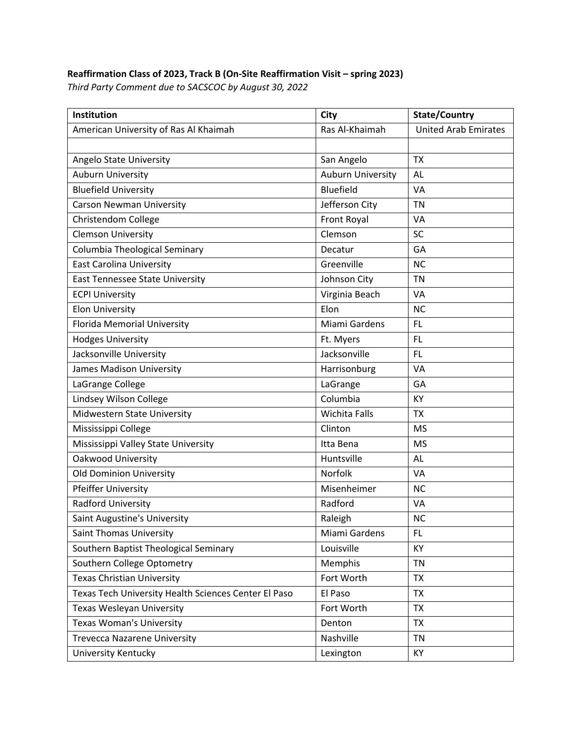## **Reaffirmation Class of 2023, Track B (On‐Site Reaffirmation Visit – spring 2023)**

*Third Party Comment due to SACSCOC by August 30, 2022*

| Institution                                          | City                     | <b>State/Country</b>        |
|------------------------------------------------------|--------------------------|-----------------------------|
| American University of Ras Al Khaimah                | Ras Al-Khaimah           | <b>United Arab Emirates</b> |
|                                                      |                          |                             |
| Angelo State University                              | San Angelo               | <b>TX</b>                   |
| Auburn University                                    | <b>Auburn University</b> | AL                          |
| <b>Bluefield University</b>                          | <b>Bluefield</b>         | <b>VA</b>                   |
| <b>Carson Newman University</b>                      | Jefferson City           | <b>TN</b>                   |
| Christendom College                                  | Front Royal              | VA                          |
| <b>Clemson University</b>                            | Clemson                  | <b>SC</b>                   |
| Columbia Theological Seminary                        | Decatur                  | GA                          |
| <b>East Carolina University</b>                      | Greenville               | <b>NC</b>                   |
| <b>East Tennessee State University</b>               | Johnson City             | <b>TN</b>                   |
| <b>ECPI University</b>                               | Virginia Beach           | VA                          |
| <b>Elon University</b>                               | Elon                     | <b>NC</b>                   |
| Florida Memorial University                          | Miami Gardens            | FL.                         |
| <b>Hodges University</b>                             | Ft. Myers                | <b>FL</b>                   |
| Jacksonville University                              | Jacksonville             | <b>FL</b>                   |
| James Madison University                             | Harrisonburg             | <b>VA</b>                   |
| LaGrange College                                     | LaGrange                 | GA                          |
| Lindsey Wilson College                               | Columbia                 | KY                          |
| Midwestern State University                          | <b>Wichita Falls</b>     | <b>TX</b>                   |
| Mississippi College                                  | Clinton                  | <b>MS</b>                   |
| Mississippi Valley State University                  | Itta Bena                | <b>MS</b>                   |
| Oakwood University                                   | Huntsville               | <b>AL</b>                   |
| <b>Old Dominion University</b>                       | Norfolk                  | VA                          |
| Pfeiffer University                                  | Misenheimer              | <b>NC</b>                   |
| Radford University                                   | Radford                  | VA                          |
| Saint Augustine's University                         | Raleigh                  | <b>NC</b>                   |
| Saint Thomas University                              | Miami Gardens            | FL.                         |
| Southern Baptist Theological Seminary                | Louisville               | KY                          |
| Southern College Optometry                           | Memphis                  | <b>TN</b>                   |
| <b>Texas Christian University</b>                    | Fort Worth               | <b>TX</b>                   |
| Texas Tech University Health Sciences Center El Paso | El Paso                  | <b>TX</b>                   |
| Texas Wesleyan University                            | Fort Worth               | <b>TX</b>                   |
| <b>Texas Woman's University</b>                      | Denton                   | <b>TX</b>                   |
| <b>Trevecca Nazarene University</b>                  | Nashville                | <b>TN</b>                   |
| University Kentucky                                  | Lexington                | KY                          |